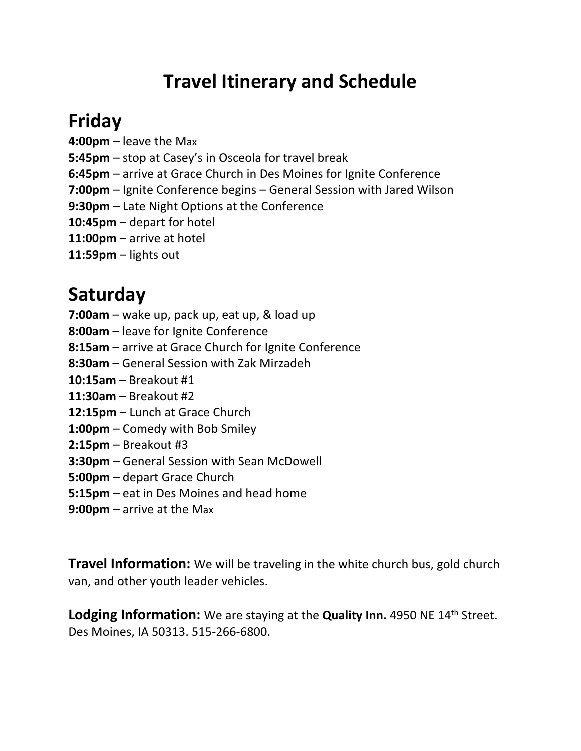# **Travel Itinerary and Schedule**

# **Friday**

**4:00pm** – leave the Max

**5:45pm** – stop at Casey's in Osceola for travel break

**6:45pm** – arrive at Grace Church in Des Moines for Ignite Conference

**7:00pm** – Ignite Conference begins – General Session with Jared Wilson

**9:30pm** – Late Night Options at the Conference

**10:45pm** – depart for hotel

**11:00pm** – arrive at hotel

**11:59pm** – lights out

### **Saturday**

**7:00am** – wake up, pack up, eat up, & load up

**8:00am** – leave for Ignite Conference

**8:15am** – arrive at Grace Church for Ignite Conference

**8:30am** – General Session with Zak Mirzadeh

**10:15am** – Breakout #1

**11:30am** – Breakout #2

**12:15pm** – Lunch at Grace Church

**1:00pm** – Comedy with Bob Smiley

**2:15pm** – Breakout #3

**3:30pm** – General Session with Sean McDowell

**5:00pm** – depart Grace Church

**5:15pm** – eat in Des Moines and head home

**9:00pm** – arrive at the Max

**Travel Information:** We will be traveling in the white church bus, gold church van, and other youth leader vehicles.

**Lodging Information:** We are staying at the **Quality Inn.** 4950 NE 14<sup>th</sup> Street. Des Moines, IA 50313. 515-266-6800.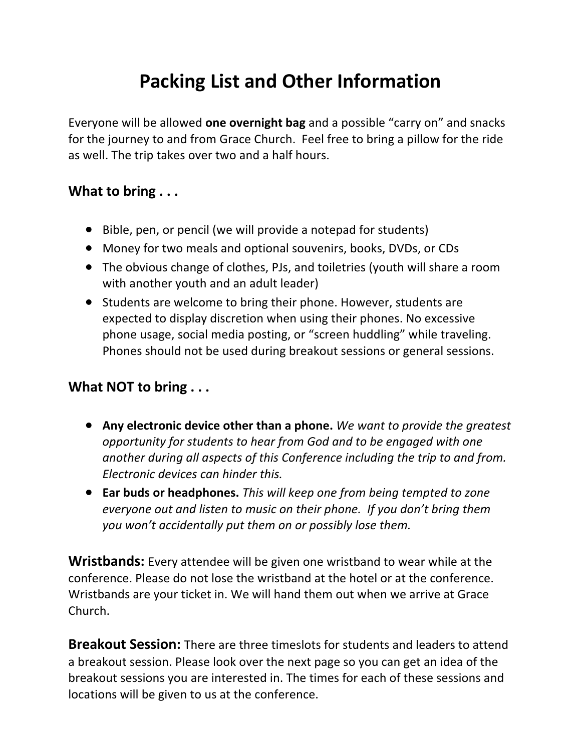## **Packing List and Other Information**

Everyone will be allowed **one overnight bag** and a possible "carry on" and snacks for the journey to and from Grace Church. Feel free to bring a pillow for the ride as well. The trip takes over two and a half hours.

#### **What to bring . . .**

- Bible, pen, or pencil (we will provide a notepad for students)
- Money for two meals and optional souvenirs, books, DVDs, or CDs
- The obvious change of clothes, PJs, and toiletries (youth will share a room with another youth and an adult leader)
- Students are welcome to bring their phone. However, students are expected to display discretion when using their phones. No excessive phone usage, social media posting, or "screen huddling" while traveling. Phones should not be used during breakout sessions or general sessions.

#### **What NOT to bring . . .**

- **Any electronic device other than a phone.** *We want to provide the greatest opportunity for students to hear from God and to be engaged with one another during all aspects of this Conference including the trip to and from. Electronic devices can hinder this.*
- **Ear buds or headphones.** *This will keep one from being tempted to zone everyone out and listen to music on their phone. If you don't bring them you won't accidentally put them on or possibly lose them.*

**Wristbands:** Every attendee will be given one wristband to wear while at the conference. Please do not lose the wristband at the hotel or at the conference. Wristbands are your ticket in. We will hand them out when we arrive at Grace Church.

**Breakout Session:** There are three timeslots for students and leaders to attend a breakout session. Please look over the next page so you can get an idea of the breakout sessions you are interested in. The times for each of these sessions and locations will be given to us at the conference.